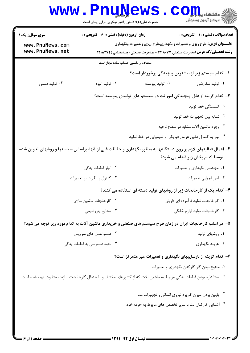|                                    | <b>LL V</b><br>حضرت علی(ع): دانش راهبر نیکویی برای ایمان است | دانشگاه پ <b>یا با ت<mark>و</mark></b><br>بہ مرڪز آزمون وسنجش                                                                                                     |  |  |
|------------------------------------|--------------------------------------------------------------|-------------------------------------------------------------------------------------------------------------------------------------------------------------------|--|--|
| <b>سری سوال :</b> یک ۱             | <b>زمان آزمون (دقیقه) : تستی : 60 ٪ تشریحی : 0</b>           | <b>تعداد سوالات : تستي : 40 - تشريحي : 0</b>                                                                                                                      |  |  |
| www.PnuNews.com<br>www.PnuNews.net |                                                              | <b>عنـــوان درس:</b> طرح ریزی و تعمیرات و نگهداری،طرح ریزی وتعمیرات ونگهداری<br><b>رشته تحصیلی/کد درس:</b> مدیریت صنعتی ۱۲۱۸۰۷۷ - ،مدیریت صنعتی (چندبخشی )۱۲۱۸۲۷۲ |  |  |
|                                    | استفاده از ماشین حساب ساده مجاز است                          |                                                                                                                                                                   |  |  |
|                                    |                                                              | ا– کدام سیستم زیر از بیشترین پیچیدگی برخوردار است؟                                                                                                                |  |  |
| ۰۴ تولید دستی                      | ۰۳ تولید انبوه                                               | ۰۲ تولید پیوسته<br>۰۱ تولید سفارشی                                                                                                                                |  |  |
|                                    |                                                              | ۲- کدام گزینه از علل پیچیدگی امور نت در سیستم های تولیدی پیوسته است؟                                                                                              |  |  |
|                                    |                                                              | ۰۱ گسستگی خط تولید                                                                                                                                                |  |  |
|                                    |                                                              | ۰۲ تشابه بین تجهیزات خط تولید                                                                                                                                     |  |  |
|                                    |                                                              | ۰۳ وجود ماشین آلات مشابه در سطح ناحیه                                                                                                                             |  |  |
|                                    |                                                              | ۰۴ نیاز به کنترل دقیق عوامل فیزیکی و شیمیایی در خط تولید                                                                                                          |  |  |
|                                    |                                                              | ۳- اعمال فعالیتهای لازم بر روی دستگاهها به منظور نگهداری و حفاظت فنی از آنها، براساس سیاستها و روشهای تدوین شده<br>توسط کدام بخش زیر انجام می شود؟                |  |  |
|                                    | ٠٢ انبار قطعات يدكى                                          | ۰۱ مهندسی نگهداری و تعمیرات                                                                                                                                       |  |  |
|                                    | ۰۴ کنترل و نظارت بر تعمیرات                                  | ۰۳ امور اجرایی تعمیرات                                                                                                                                            |  |  |
|                                    |                                                              | ۴- کدام یک از کارخانجات زیر از روشهای تولید دسته ای استفاده می کنند؟                                                                                              |  |  |
|                                    | ٠٢ كارخانجات ماشين سازى                                      | ۰۱ کارخانجات تولید فرآورده ای داروئی                                                                                                                              |  |  |
|                                    | ۰۴ صنایع پتروشیمی                                            | ۰۳ کارخانجات تولید لوازم خانگی                                                                                                                                    |  |  |
|                                    |                                                              | ۵– در اغلب کارخانجات ایران در زمان طرح سیستم های صنعتی و خریداری ماشین آلات به کدام مورد زیر توجه می شود؟                                                         |  |  |
|                                    | ۰۲ دستوالعمل های سرویس                                       | ۰۱ روشهای تولید                                                                                                                                                   |  |  |
|                                    | ۰۴ نحوه دسترسی به قطعات یدکی                                 | ۰۳ هزينه نگهداري                                                                                                                                                  |  |  |
|                                    |                                                              | ۶– کدام گزینه از نارساییهای نگهداری و تعمیرات غیر متمرکز است؟                                                                                                     |  |  |
|                                    |                                                              | ۰۱ متنوع بودن کار کارکنان نگهداری و تعمیرات                                                                                                                       |  |  |
|                                    |                                                              | ۰۲ استاندارد بودن قطعات یدکی مربوط به ماشین آلات که از کشورهای مختلف و یا حداقل کارخانجات سازنده متفاوت تهیه شده است                                              |  |  |
|                                    |                                                              | ۰۳ پایین بودن میزان کاربرد نیروی انسانی و تجهیزات نت                                                                                                              |  |  |
|                                    |                                                              | ۰۴ آشنایی کارکنان نت با سایر تخصص های مربوط به حرفه خود                                                                                                           |  |  |
|                                    |                                                              |                                                                                                                                                                   |  |  |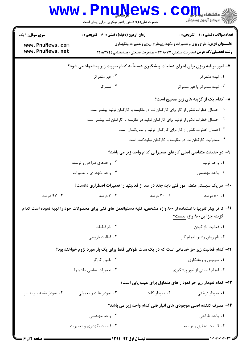|                                                                                       | www.PnuNews.<br>حضرت علی(ع): دانش راهبر نیکویی برای ایمان است                                                     |                | $\mathbf{C}\mathbf{O}\mathbf{m}$<br>ے<br>ج <sup>7</sup> مرکز آزمون وسنڊش                                                                                          |  |
|---------------------------------------------------------------------------------------|-------------------------------------------------------------------------------------------------------------------|----------------|-------------------------------------------------------------------------------------------------------------------------------------------------------------------|--|
| <b>سری سوال :</b> ۱ یک                                                                | <b>زمان آزمون (دقیقه) : تستی : 60 ٪ تشریحی : 0</b>                                                                |                | <b>تعداد سوالات : تستی : 40 قشریحی : 0</b>                                                                                                                        |  |
| www.PnuNews.com<br>www.PnuNews.net                                                    |                                                                                                                   |                | <b>عنـــوان درس:</b> طرح ریزی و تعمیرات و نگهداری،طرح ریزی وتعمیرات ونگهداری<br><b>رشته تحصیلی/کد درس:</b> مدیریت صنعتی ۱۲۱۸۰۷۷ - ،مدیریت صنعتی (چندبخشی )۱۲۱۸۲۷۲ |  |
| ۷- امور برنامه ریزی برای اجرای عملیات پیشگیری عمدتاً به کدام صورت زیر پیشنهاد می شود؟ |                                                                                                                   |                |                                                                                                                                                                   |  |
|                                                                                       | ۰۲ غیر متمرکز                                                                                                     |                | ۰۱ نیمه متمرکز                                                                                                                                                    |  |
|                                                                                       | ۰۴ متمرکز                                                                                                         |                | ۰۳ نیمه متمرکز یا غیر متمرکز                                                                                                                                      |  |
|                                                                                       |                                                                                                                   |                | ۸– کدام یک از گزینه های زیر صحیح است؟                                                                                                                             |  |
| ۰۱ احتمال خطرات ناشی از کار برای کارکنان نت در مقایسه با کارکنان تولید بیشتر است      |                                                                                                                   |                |                                                                                                                                                                   |  |
|                                                                                       | ۰۲ احتمال خطرات ناشی از تولید برای کارکنان تولید در مقایسه با کارکنان نت بیشتر است                                |                |                                                                                                                                                                   |  |
| ۰۳ احتمال خطرات ناشی از کار برای کارکنان تولید و نت یکسان است                         |                                                                                                                   |                |                                                                                                                                                                   |  |
|                                                                                       | ۰۴ مسئولیت کارکنان نت در مقایسه با کارکنان تولیدکمتر است                                                          |                |                                                                                                                                                                   |  |
| ۹- در حقیقت متقاضی اصلی کارهای تعمیراتی کدام واحد زیر می باشد؟                        |                                                                                                                   |                |                                                                                                                                                                   |  |
|                                                                                       | ۰۲ واحدهای طراحی و توسعه                                                                                          |                | ۰۱ واحد توليد                                                                                                                                                     |  |
|                                                                                       | ۰۴ واحد نگهداری و تعمیرات                                                                                         |                | ۰۳ واحد مهندسی                                                                                                                                                    |  |
|                                                                                       | ∙ا− در یک سیستم منظم امور فنی باید چند در صد از فعالیتها را تعمیرات اضطراری دانست؟                                |                |                                                                                                                                                                   |  |
| ۰۴ درصد                                                                               | ۰۳ درصد                                                                                                           | ۲۰ ۲۰ درصد     | ۰۱ درصد                                                                                                                                                           |  |
|                                                                                       | ۱۱– کا تر پیلر تقریبا با استفاده از ۸۰۰ واژه مشخص، کلیه دستوالعمل های فنی برای محصولات خود را تهیه نموده است کدام |                |                                                                                                                                                                   |  |
|                                                                                       |                                                                                                                   |                | گزینه جز این۸۰۰ واژه نیست؟                                                                                                                                        |  |
|                                                                                       | ٠٢ نام قطعات                                                                                                      |                | ٠١ فعاليت باز كردن                                                                                                                                                |  |
|                                                                                       | ۰۴ فعالیت بازرسی                                                                                                  |                | ۰۳ نام روش وشیوه انجام کار                                                                                                                                        |  |
|                                                                                       | ۱۲– کدام فعالیت زیر جز خدماتی است که در یک مدت طولانی فقط برای یک بار مورد لزوم خواهند بود؟                       |                |                                                                                                                                                                   |  |
|                                                                                       | ۰۲ تامین کارگر                                                                                                    |                | ۰۱ سرویس و روغنکاری                                                                                                                                               |  |
|                                                                                       | ۰۴ تعميرات اساسى ماشينها                                                                                          |                | ۰۳ انجام قسمتی از امور پیشگیری                                                                                                                                    |  |
|                                                                                       |                                                                                                                   |                | ۱۳– کدام نمودار زیر جز نمودار های متداول برای عیب یابی است؟                                                                                                       |  |
| ۰۴ نمودار نقطه سر به سر                                                               | ۰۳ نمودار علت و معمولی                                                                                            | ۰۲ نمودار گانت | ۰۱ نمودار درختی                                                                                                                                                   |  |
|                                                                                       |                                                                                                                   |                | ۱۴- مصرف کننده اصلی موجودی های انبار فنی کدام واحد زیر می باشد؟                                                                                                   |  |
|                                                                                       | ۰۲ واحد مهندسی                                                                                                    |                | ۰۱ واحد طراحی                                                                                                                                                     |  |
|                                                                                       | ۰۴ قسمت نگهداری و تعمیرات                                                                                         |                | ۰۳ قسمت تحقیق و توسعه                                                                                                                                             |  |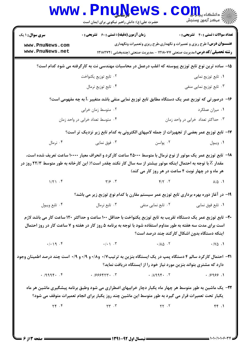|                                                                                                                                                                                                                   | <b>www.PnuNews</b><br>حضرت علی(ع): دانش راهبر نیکویی برای ایمان است                                                                                                                                                                                                                                                                                                                                            |                                                                              | $\mathbf{CO}_{\mathbf{H}}$ و دانشگاه پ<br><i>[[آ</i> مرڪز آزمون وسنڊش |
|-------------------------------------------------------------------------------------------------------------------------------------------------------------------------------------------------------------------|----------------------------------------------------------------------------------------------------------------------------------------------------------------------------------------------------------------------------------------------------------------------------------------------------------------------------------------------------------------------------------------------------------------|------------------------------------------------------------------------------|-----------------------------------------------------------------------|
| <b>سری سوال : ۱ یک</b>                                                                                                                                                                                            | <b>زمان آزمون (دقیقه) : تستی : 60 ٪ تشریحی : 0</b>                                                                                                                                                                                                                                                                                                                                                             |                                                                              | <b>تعداد سوالات : تستي : 40 ٪ تشریحي : 0</b>                          |
| www.PnuNews.com<br>www.PnuNews.net                                                                                                                                                                                |                                                                                                                                                                                                                                                                                                                                                                                                                | <b>عنـــوان درس:</b> طرح ریزی و تعمیرات و نگهداری،طرح ریزی وتعمیرات ونگهداری |                                                                       |
| <b>رشته تحصیلی/کد درس:</b> مدیریت صنعتی ۱۲۱۸۰۷۷ - ،مدیریت صنعتی (چندبخشی )۱۲۱۸۲۷۲<br>۱۵– ساده ترین نوع تابع توزیع پیوسته که اغلب درعمل در محاسبات مهندسی نت به کارگرفته می شود کدام است؟                          |                                                                                                                                                                                                                                                                                                                                                                                                                |                                                                              |                                                                       |
|                                                                                                                                                                                                                   |                                                                                                                                                                                                                                                                                                                                                                                                                |                                                                              | ٠١ تابع توزيع نمايي                                                   |
|                                                                                                                                                                                                                   | ۰۲ تابع توزیع یکنواخت<br>۰۴ تابع توزیع نرمال                                                                                                                                                                                                                                                                                                                                                                   |                                                                              | ۰۳ تابع توزیع نمایی منفی                                              |
|                                                                                                                                                                                                                   |                                                                                                                                                                                                                                                                                                                                                                                                                |                                                                              |                                                                       |
|                                                                                                                                                                                                                   | ۱۶– درصورتی که توزیع عمر یک دستگاه مطابق تابع توزیع نمایی منفی باشد متغییر ∐به چه مفهومی است؟                                                                                                                                                                                                                                                                                                                  |                                                                              |                                                                       |
|                                                                                                                                                                                                                   | ۰۲ متوسط زمان خرابی                                                                                                                                                                                                                                                                                                                                                                                            |                                                                              | ۰۱ میزان عملکرد                                                       |
| ۰۴ متوسط تعداد خرابی در واحد زمان<br>۰۳ حداکثر تعداد خرابی در واحد زمان                                                                                                                                           |                                                                                                                                                                                                                                                                                                                                                                                                                |                                                                              |                                                                       |
|                                                                                                                                                                                                                   | ۱۷– تابع توزیع عمر بعضی از تجهیزات از جمله لامپهای الکترونی به کدام تابع زیر نزدیک تر است؟                                                                                                                                                                                                                                                                                                                     |                                                                              |                                                                       |
| ۰۴ نرمال                                                                                                                                                                                                          | ۰۳ فوق نمایی                                                                                                                                                                                                                                                                                                                                                                                                   | ۰۲ پواسن                                                                     | ۰۱ ویبول                                                              |
|                                                                                                                                                                                                                   | <b>۱۸</b> – تابع توزیع عمر یک موتور از نوع نرمال با متوسط ۲۵۰۰۰ ساعت کارکرد و انحراف معیار ۱۰۰۰۰ ساعت تعریف شده است،                                                                                                                                                                                                                                                                                           |                                                                              |                                                                       |
| مقدار Z با توجه به احتمال اینکه موتور بیشتر از سه سال کار نکند چقدر است؟( این کارخانه به طور متوسط ۲۲/۳ روز در                                                                                                    |                                                                                                                                                                                                                                                                                                                                                                                                                | هر ماه و در چهار نوبت ۴ ساعت در هر روز کار می کند)                           |                                                                       |
| $1/\Upsilon$ . $\Upsilon$                                                                                                                                                                                         | $\gamma/\gamma$ . T                                                                                                                                                                                                                                                                                                                                                                                            |                                                                              | $\Lambda/\Delta$ .                                                    |
|                                                                                                                                                                                                                   | ۱۹– در آغاز دوره بهره برداری تابع توزیع عمر سیستم مقارن با کدام نوع توزیع زیر می باشد؟                                                                                                                                                                                                                                                                                                                         |                                                                              |                                                                       |
| ۰۴ تابع ويبول                                                                                                                                                                                                     |                                                                                                                                                                                                                                                                                                                                                                                                                | ۰۱ تابع فوق نمایی منفی منفی میسم است. تابع نرمال ۲۰۰                         |                                                                       |
|                                                                                                                                                                                                                   | +۲- تابع توزیع عمر یک دستگاه تقریب به تابع توزیع یکنواخت با حداقل ۱۰۰ ساعت و حداکثر ۱۲۰ ساعت کار می باشد لازم                                                                                                                                                                                                                                                                                                  |                                                                              |                                                                       |
|                                                                                                                                                                                                                   | است برای مدت سه هفته به طور مداوم استفاده شود با توجه به برنامه ۵ روز کار در هفته و ۷ ساعت کار در روز احتمال                                                                                                                                                                                                                                                                                                   |                                                                              |                                                                       |
|                                                                                                                                                                                                                   |                                                                                                                                                                                                                                                                                                                                                                                                                | اینکه دستگاه بدون اشکال کارکند چند درصد است؟                                 |                                                                       |
|                                                                                                                                                                                                                   | $\cdot$ / $\cdot$ $\cdot$ $\uparrow$ $\cdot$ $\uparrow$ $\cdot$ $\uparrow$ $\cdot$ $\uparrow$ $\uparrow$ $\cdot$ $\uparrow$ $\uparrow$ $\uparrow$ $\uparrow$ $\uparrow$ $\uparrow$ $\uparrow$ $\uparrow$ $\uparrow$ $\uparrow$ $\uparrow$ $\uparrow$ $\uparrow$ $\uparrow$ $\uparrow$ $\uparrow$ $\uparrow$ $\uparrow$ $\uparrow$ $\uparrow$ $\uparrow$ $\uparrow$ $\uparrow$ $\uparrow$ $\uparrow$ $\uparrow$ |                                                                              | $\cdot$ / Y $\triangle$ . 1                                           |
| <b>۲۱</b> - احتمال کارکرد سالم ۴ دستگاه پمپ در یک ایستگاه بنزین به ترتیب۱۷۰ و۰/۸ و ۰/۹ و ۰/۹ است چند درصد اطمینان وجود                                                                                            |                                                                                                                                                                                                                                                                                                                                                                                                                |                                                                              |                                                                       |
|                                                                                                                                                                                                                   | $(1, 1, 1, 1)$ $(2, 1, 1)$ $(3, 1, 1)$ $(4, 1, 1)$ $(5, 1, 1)$ $(6, 1, 1)$ $(7, 1, 1)$ $(8, 1, 1)$ $(9, 1, 1)$ $(1, 1, 1)$                                                                                                                                                                                                                                                                                     | دارد که مشتری بتواند بنزین مورد نیاز خود را از ایستگاه دریافت نماید؟         | .19999.1                                                              |
|                                                                                                                                                                                                                   |                                                                                                                                                                                                                                                                                                                                                                                                                |                                                                              |                                                                       |
| ۲۲- یک ماشین به طور متوسط هر چهار ماه یکبار دچار خرابیهای اضطراری می شود وطبق برنامه پیشگیری ماشین هر ماه<br>یکبار تحت تعمیرات قرار می گیرد به طور متوسط این ماشین چند روز یکبار برای انجام تعمیرات متوقف می شود؟ |                                                                                                                                                                                                                                                                                                                                                                                                                |                                                                              |                                                                       |
|                                                                                                                                                                                                                   |                                                                                                                                                                                                                                                                                                                                                                                                                |                                                                              | FF.1                                                                  |
|                                                                                                                                                                                                                   |                                                                                                                                                                                                                                                                                                                                                                                                                |                                                                              |                                                                       |
|                                                                                                                                                                                                                   |                                                                                                                                                                                                                                                                                                                                                                                                                |                                                                              |                                                                       |
| = صفحه 13 % =                                                                                                                                                                                                     |                                                                                                                                                                                                                                                                                                                                                                                                                |                                                                              | = 1・1・/1・1・۶・34                                                       |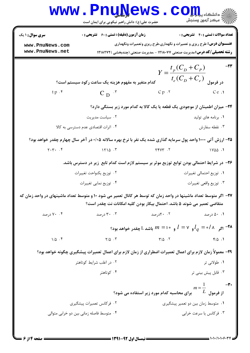|                                        | <b>www.PnuNews</b><br>حضرت علی(ع): دانش راهبر نیکویی برای ایمان است                                              |                                                                                                                                                                   | ي دانشڪا <b>، پياپايال</b><br>پ<br><i>الآ</i> " مرڪز آزمون وسنڊش |
|----------------------------------------|------------------------------------------------------------------------------------------------------------------|-------------------------------------------------------------------------------------------------------------------------------------------------------------------|------------------------------------------------------------------|
| <b>سری سوال : ۱ یک</b>                 | <b>زمان آزمون (دقیقه) : تستی : 60 ٪ تشریحی : 0</b>                                                               |                                                                                                                                                                   | <b>تعداد سوالات : تستی : 40 قشریحی : 0</b>                       |
| www.PnuNews.com<br>www.PnuNews.net     |                                                                                                                  | <b>عنـــوان درس:</b> طرح ریزی و تعمیرات و نگهداری،طرح ریزی وتعمیرات ونگهداری<br><b>رشته تحصیلی/کد درس:</b> مدیریت صنعتی ۱۲۱۸۰۷۷ - ،مدیریت صنعتی (چندبخشی )۱۲۱۸۲۷۲ |                                                                  |
|                                        |                                                                                                                  |                                                                                                                                                                   |                                                                  |
|                                        | کدام متغیر به مفهوم هزینه یک ساعت رکود سیستم است؟                                                                |                                                                                                                                                                   | $Y = \frac{t_p(C_D + C_p)}{t_e(C_D + C_e)}$ در فرمول             |
| $tp.$ f                                | $C_{\text{D}}$ <sup>.r</sup>                                                                                     | Cp.7                                                                                                                                                              | Ce.1                                                             |
|                                        |                                                                                                                  | ۲۴– میزان اطمینان از موجودی یک قطعه یا یک کالا به کدام مورد زیر بستگی دارد؟                                                                                       |                                                                  |
|                                        | ۰۲ سیاست مدیریت                                                                                                  |                                                                                                                                                                   | ۰۱ برنامه های تولید                                              |
|                                        | ۰۴ اثرات اقتصادی عدم دسترسی به کالا                                                                              |                                                                                                                                                                   | ۰۳ نقطه سفارش                                                    |
|                                        | ۲۵- ارزش آتی ۱۰۰۰ واحد پول سرمایه گذاری شده یک نفر با نرخ بهره سالانه ۰/۰۵ در آخر سال چهارم چقدر خواهد بود؟      |                                                                                                                                                                   |                                                                  |
| $\gamma \cdot \gamma \cdot$ . $\gamma$ | $\overline{1710}$ . $\overline{1}$                                                                               | $Y + YY + Y$                                                                                                                                                      | $1Y\triangle\triangle$ .1                                        |
|                                        | ۲۶– در شرایط احتمالی بودن توابع توزیع موثر بر سیستم لازم است کدام تابع ًزیر در دسترس باشد.                       |                                                                                                                                                                   |                                                                  |
|                                        | ٠٢ توزيع يكنواحت تغييرات                                                                                         |                                                                                                                                                                   | ٠١ توزيع احتمالي تغييرات                                         |
|                                        | ۰۴ توزیع نمایی تغییرات                                                                                           |                                                                                                                                                                   | ۰۳ توزيع واقعي تغييرات                                           |
|                                        | ۲۷– اگر متوسط تعداد ماشینها در واحد زمان که توسط هر کانال تعمیر می شود ۱۰ و متوسط تعداد ماشینهای در واحد زمان که | متقاضی تعمیر می شوند ۵ باشد. احتمال بیکار بودن کلیه امکانات نت چقدر است؟                                                                                          |                                                                  |
| ۰۴ درصد                                | ۰.۳ درصد                                                                                                         | ۰۲ ۲۰رصد                                                                                                                                                          | ۰.۱ درصد                                                         |
|                                        |                                                                                                                  | اگر $\,$ ۸ $\,$ ه $\,$ و $\,$ ۱ $\,$ باشد ، $\,$ چقدر خواهد بود $\,$                                                                                              |                                                                  |
| $1/\Delta$ .                           | $Y/\Delta$ .                                                                                                     | $\Gamma/\Delta$ .                                                                                                                                                 | $F/\Delta$ .                                                     |
|                                        | ۲۹- معمولاً زمان لازم برای اعمال تعمیرات اضطراری از زمان لازم برای اعمال تعمیرات پیشگیری چگونه خواهد بود؟        |                                                                                                                                                                   |                                                                  |
|                                        | ۰۲ در اغلب شرایط کوتاهتر                                                                                         |                                                                                                                                                                   | ۰۱ طولانی تر                                                     |
|                                        | ۰۴ کوتاهتر                                                                                                       |                                                                                                                                                                   | ۰۳ قابل پیش بینی تر                                              |
|                                        |                                                                                                                  | برای محاسبه کدام مورد زیر استفاده می شود؟                                                                                                                         | $-\mathbf{r}$ .<br>$m=\frac{1}{2}$<br>$^L$ از فرمول              |
|                                        | ۰۲ فرکانس تعمیرات پیشگیری                                                                                        |                                                                                                                                                                   | ۰۱ متوسط زمان بین دو تعمیر پیشگیری                               |
|                                        | ۰۴ متوسط فاصله زمانی بین دو خرابی متوالی                                                                         |                                                                                                                                                                   | ۰۳ فرکانس یا سرعت خرابی                                          |
|                                        |                                                                                                                  |                                                                                                                                                                   |                                                                  |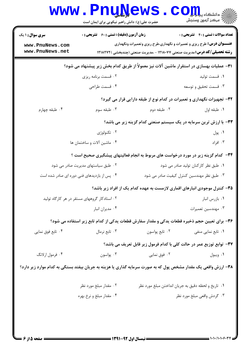|                                                                                          | <b>www.PnuNews</b><br>حضرت علی(ع): دانش راهبر نیکویی برای ایمان است |                                                                                                                                                                   | ان دانشڪاه پيا ہوں<br>اڳ مرڪز آزمون وسنڊش  |
|------------------------------------------------------------------------------------------|---------------------------------------------------------------------|-------------------------------------------------------------------------------------------------------------------------------------------------------------------|--------------------------------------------|
| <b>سری سوال : ۱ یک</b>                                                                   | <b>زمان آزمون (دقیقه) : تستی : 60 ٪ تشریحی : 0</b>                  |                                                                                                                                                                   | <b>تعداد سوالات : تستي : 40 قشريحي : 0</b> |
| www.PnuNews.com<br>www.PnuNews.net                                                       |                                                                     | <b>عنـــوان درس:</b> طرح ریزی و تعمیرات و نگهداری،طرح ریزی وتعمیرات ونگهداری<br><b>رشته تحصیلی/کد درس:</b> مدیریت صنعتی ۱۲۱۸۰۷۷ - ،مدیریت صنعتی (چندبخشی )۱۲۱۸۲۷۲ |                                            |
| ۳۱– عملیات بهسازی در استقرار ماشین آلات نیز معمولاً از طریق کدام بخش زیر پیشنهاد می شود؟ |                                                                     |                                                                                                                                                                   |                                            |
|                                                                                          | ۰۲ قسمت برنامه ریزی                                                 |                                                                                                                                                                   | ٠١. قسمت توليد                             |
|                                                                                          | ۰۴ قسمت طراحی                                                       |                                                                                                                                                                   | ۰۳ قسمت تحقیق و توسعه                      |
|                                                                                          |                                                                     | ۳۲- تجهیزات نگهداری و تعمیرات در کدام نوع از طبقه دارایی قرار می گیرد؟                                                                                            |                                            |
| ۰۴ طبقه چهارم                                                                            | ۰۳ طبقه سوم                                                         | ۰۲ طبقه دوم                                                                                                                                                       | ٠١. طبقه اول                               |
|                                                                                          |                                                                     | ۳۳- با ارزش ترین سرمایه در یک سیستم صنعتی کدام گزینه زیر می باشد؟                                                                                                 |                                            |
|                                                                                          | ۰۲ تکنولوژی                                                         |                                                                                                                                                                   | ۰۱ پول                                     |
|                                                                                          | ۰۴ ماشين آلات و ساختمان ها                                          |                                                                                                                                                                   | ۰۳ افراد                                   |
|                                                                                          |                                                                     | ۳۴– کدام گزینه زیر در مورد درخواست های مربوط به انجام فعالیتهای پیشگیری صحیح است ؟                                                                                |                                            |
|                                                                                          | ۰۲ طبق سیاستهای مدیریت صادر می شود                                  | ۰۱ طبق نظر کارکنان تولید صادر می شود                                                                                                                              |                                            |
|                                                                                          | ۰۴ پس از بازدیدهای فنی دوره ای صادر شده است                         | ۰۳ طبق نظر مهندسین کنترل کیفیت صادر می شود                                                                                                                        |                                            |
|                                                                                          |                                                                     | ۳۵- کنترل موجودی انبارهای اقماری لازمست به عهده کدام یک از افراد زیر باشد؟                                                                                        |                                            |
|                                                                                          | ۰۲ استادکار گروههای مستقر در هر کارگاه تولید                        |                                                                                                                                                                   | ٠١ بازرس انبار                             |
|                                                                                          | ۰۴ مديران انبار                                                     |                                                                                                                                                                   | ۰۳ مهندسین تعمیرات                         |
|                                                                                          |                                                                     | ۳۶– برای تعیین حجم ذخیره قطعات پدکی و مقدار سفارش قطعات پدکی از کدام تابع زیر استفاده می شود؟                                                                     |                                            |
| ۰۴ تابع فوق نمایی                                                                        | ۰۳ تابع نرمال                                                       | ۰۲ تابع پواسون                                                                                                                                                    | ۰۱ تابع نمایی منفی                         |
|                                                                                          |                                                                     | ٣٧- توابع توزيع عمر در حالت كلي با كدام فرمول زير قابل تعريف مي باشد؟                                                                                             |                                            |
| ۰۴ فرمول ارلانگ                                                                          | ۰۳ پواسون                                                           | ۰۲ فوق نمایی                                                                                                                                                      | ٠١ ويبول                                   |
|                                                                                          |                                                                     | ۳۸- ارزش واقعی یک مقدار مشخص پول که به صورت سرمایه گذاری یا هزینه به جریان بیفتد بستگی به کدام موارد زیر دارد؟                                                    |                                            |
|                                                                                          | ۰۲ مقدار مبلغ مورد نظر                                              | ٠١ تاريخ و لحظه دقيق به جريان انداختن مبلغ مورد نظر                                                                                                               |                                            |
|                                                                                          | ۰۴ مقدار مبلغ و نرخ بهره                                            |                                                                                                                                                                   | ۰۳ گردش واقعی مبلغ مورد نظر                |
|                                                                                          |                                                                     |                                                                                                                                                                   |                                            |
|                                                                                          |                                                                     |                                                                                                                                                                   |                                            |
|                                                                                          |                                                                     |                                                                                                                                                                   |                                            |